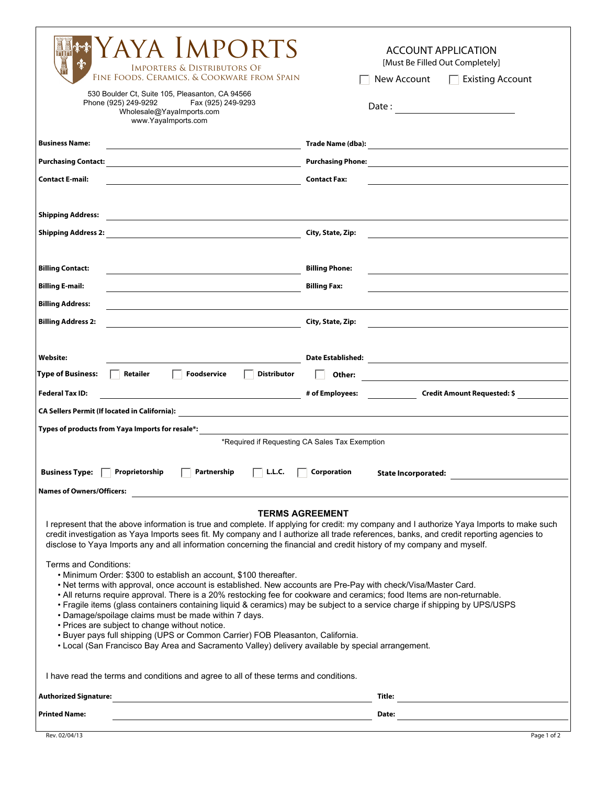| AYA IMPORTS<br><b>IMPORTERS &amp; DISTRIBUTORS OF</b><br>FINE FOODS, CERAMICS, & COOKWARE FROM SPAIN<br>530 Boulder Ct, Suite 105, Pleasanton, CA 94566<br>Phone (925) 249-9292<br>Fax (925) 249-9293<br>Wholesale@YayaImports.com<br>www.YayaImports.com                                                                                                                                                                                                                                                                    | <b>ACCOUNT APPLICATION</b><br>[Must Be Filled Out Completely]<br>New Account<br><b>Existing Account</b><br>$\Box$              |  |  |
|------------------------------------------------------------------------------------------------------------------------------------------------------------------------------------------------------------------------------------------------------------------------------------------------------------------------------------------------------------------------------------------------------------------------------------------------------------------------------------------------------------------------------|--------------------------------------------------------------------------------------------------------------------------------|--|--|
| <b>Business Name:</b><br>the control of the control of the control of the control of the control of                                                                                                                                                                                                                                                                                                                                                                                                                          |                                                                                                                                |  |  |
|                                                                                                                                                                                                                                                                                                                                                                                                                                                                                                                              |                                                                                                                                |  |  |
| <b>Contact E-mail:</b>                                                                                                                                                                                                                                                                                                                                                                                                                                                                                                       | <b>Contact Fax:</b>                                                                                                            |  |  |
|                                                                                                                                                                                                                                                                                                                                                                                                                                                                                                                              |                                                                                                                                |  |  |
| <b>Shipping Address:</b><br><u> 1980 - Andrea Aonaichte, ann an t-Èireann an t-Èireann an t-Èireann an t-Èireann an t-Èireann an t-Èireann an </u>                                                                                                                                                                                                                                                                                                                                                                           |                                                                                                                                |  |  |
|                                                                                                                                                                                                                                                                                                                                                                                                                                                                                                                              | City, State, Zip:                                                                                                              |  |  |
|                                                                                                                                                                                                                                                                                                                                                                                                                                                                                                                              |                                                                                                                                |  |  |
| <b>Billing Contact:</b>                                                                                                                                                                                                                                                                                                                                                                                                                                                                                                      | <b>Billing Phone:</b>                                                                                                          |  |  |
| <u> 1989 - Johann Barn, mars eta biztanleria (h. 1989).</u><br><b>Billing E-mail:</b>                                                                                                                                                                                                                                                                                                                                                                                                                                        | <b>Billing Fax:</b>                                                                                                            |  |  |
| <u> 1980 - Johann Barbara, martin amerikan basal dan berasal dalam basal dalam basal dalam basal dalam basal dala</u>                                                                                                                                                                                                                                                                                                                                                                                                        |                                                                                                                                |  |  |
| <b>Billing Address:</b>                                                                                                                                                                                                                                                                                                                                                                                                                                                                                                      |                                                                                                                                |  |  |
| <b>Billing Address 2:</b><br><u> 1980 - Johann Barn, fransk politik (d. 1980)</u>                                                                                                                                                                                                                                                                                                                                                                                                                                            | City, State, Zip:<br>the control of the control of the control of the control of the control of                                |  |  |
|                                                                                                                                                                                                                                                                                                                                                                                                                                                                                                                              |                                                                                                                                |  |  |
| Website:                                                                                                                                                                                                                                                                                                                                                                                                                                                                                                                     |                                                                                                                                |  |  |
| <b>Type of Business:</b><br>Retailer<br><b>Foodservice</b><br><b>Distributor</b>                                                                                                                                                                                                                                                                                                                                                                                                                                             | Other:<br><u> 1989 - Jan Stein Stein, september 1989 - Stein Stein Stein Stein Stein Stein Stein Stein Stein Stein Stein S</u> |  |  |
| <b>Federal Tax ID:</b><br><u> 1989 - Johann Barbara, martin amerikan ba</u>                                                                                                                                                                                                                                                                                                                                                                                                                                                  | # of Employees: Credit Amount Requested: \$                                                                                    |  |  |
|                                                                                                                                                                                                                                                                                                                                                                                                                                                                                                                              |                                                                                                                                |  |  |
| Types of products from Yaya Imports for resale*:                                                                                                                                                                                                                                                                                                                                                                                                                                                                             |                                                                                                                                |  |  |
| *Required if Requesting CA Sales Tax Exemption                                                                                                                                                                                                                                                                                                                                                                                                                                                                               |                                                                                                                                |  |  |
| <b>Business Type:</b><br>Proprietorship<br>Partnership<br>L.L.C.<br><b>Corporation</b><br><b>State Incorporated:</b>                                                                                                                                                                                                                                                                                                                                                                                                         |                                                                                                                                |  |  |
| <b>Names of Owners/Officers:</b>                                                                                                                                                                                                                                                                                                                                                                                                                                                                                             |                                                                                                                                |  |  |
|                                                                                                                                                                                                                                                                                                                                                                                                                                                                                                                              |                                                                                                                                |  |  |
| <b>TERMS AGREEMENT</b><br>I represent that the above information is true and complete. If applying for credit: my company and I authorize Yaya Imports to make such<br>credit investigation as Yaya Imports sees fit. My company and I authorize all trade references, banks, and credit reporting agencies to<br>disclose to Yaya Imports any and all information concerning the financial and credit history of my company and myself.                                                                                     |                                                                                                                                |  |  |
| Terms and Conditions:<br>• Minimum Order: \$300 to establish an account, \$100 thereafter.<br>• Net terms with approval, once account is established. New accounts are Pre-Pay with check/Visa/Master Card.<br>. All returns require approval. There is a 20% restocking fee for cookware and ceramics; food Items are non-returnable.<br>• Fragile items (glass containers containing liquid & ceramics) may be subject to a service charge if shipping by UPS/USPS<br>• Damage/spoilage claims must be made within 7 days. |                                                                                                                                |  |  |
| • Prices are subject to change without notice.                                                                                                                                                                                                                                                                                                                                                                                                                                                                               |                                                                                                                                |  |  |
| • Buyer pays full shipping (UPS or Common Carrier) FOB Pleasanton, California.<br>• Local (San Francisco Bay Area and Sacramento Valley) delivery available by special arrangement.                                                                                                                                                                                                                                                                                                                                          |                                                                                                                                |  |  |
|                                                                                                                                                                                                                                                                                                                                                                                                                                                                                                                              |                                                                                                                                |  |  |
| I have read the terms and conditions and agree to all of these terms and conditions.                                                                                                                                                                                                                                                                                                                                                                                                                                         |                                                                                                                                |  |  |
| <b>Authorized Signature:</b>                                                                                                                                                                                                                                                                                                                                                                                                                                                                                                 |                                                                                                                                |  |  |
| <b>Printed Name:</b><br><u> 1989 - Johann Barn, mars eta biztanleria (h. 1989).</u>                                                                                                                                                                                                                                                                                                                                                                                                                                          | Date:                                                                                                                          |  |  |
|                                                                                                                                                                                                                                                                                                                                                                                                                                                                                                                              |                                                                                                                                |  |  |

**r** 

h